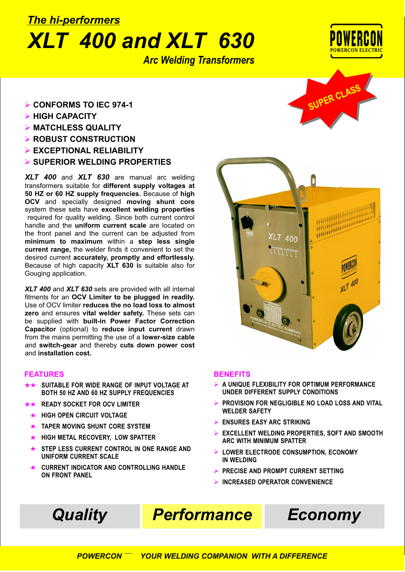## *XLT 400 and XLT 630 The hi-performers*

*Arc Welding Transformers*



- Ø **CONFORMS TO IEC 974-1**
- Ø **HIGH CAPACITY**
- Ø **MATCHLESS QUALITY**
- Ø **ROBUST CONSTRUCTION**
- Ø **EXCEPTIONAL RELIABILITY**
- Ø **SUPERIOR WELDING PROPERTIES**

*XLT 400* and *XLT 630* are manual arc welding transformers suitable for **different supply voltages at 50 HZ or 60 HZ supply frequencies.** Because of **high OCV** and specially designed **moving shunt core** system these sets have **excellent welding properties** required for quality welding. Since both current control handle and the **uniform current scale** are located on the front panel and the current can be adjusted from **minimum to maximum** within a **step less single current range,** the welder finds it convenient to set the desired current **accurately, promptly and effortlessly.** Because of high capacity **XLT 630 i**s suitable also for Gouging application.

*XLT 400* and *XLT 630* sets are provided with all internal fitments for an **OCV Limiter to be plugged in readily.** Use of OCV limiter **reduces the no load loss to almost zero** and ensures **vital welder safety.** These sets can be supplied with **built-in Power Factor Correction Capacitor** (optional) to **reduce input current** drawn from the mains permitting the use of a **lower-size cable** and **switch-gear** and thereby **cuts down power cost** and **installation cost.**

### **FEATURES**

- **SUITABLE FOR WIDE RANGE OF INPUT VOLTAGE AT BOTH 50 HZ AND 60 HZ SUPPLY FREQUENCIES**
- **READY SOCKET FOR OCV LIMITER**
- **HIGH OPEN CIRCUIT VOLTAGE**  $\overline{\phantom{0}}$
- $\ddot{\phantom{1}}$ **TAPER MOVING SHUNT CORE SYSTEM**
- **HIGH METAL RECOVERY, LOW SPATTER**  $\ddotmark$
- **STEP LESS CURRENT CONTROL IN ONE RANGE AND UNIFORM CURRENT SCALE**
- **CURRENT INDICATOR AND CONTROLLING HANDLE ON FRONT PANEL**





### **BENEFITS**

- **A UNIQUE FLEXIBILITY FOR OPTIMUM PERFORMANCE** Ø **UNDER DIFFERENT SUPPLY CONDITIONS**
- **PROVISION FOR NEGLIGIBLE NO LOAD LOSS AND VITAL WELDER SAFETY** Ø
- **ENSURES EASY ARC STRIKING** Ø
- **EXCELLENT WELDING PROPERTIES, SOFT AND SMOOTH ARC WITH MINIMUM SPATTER** Ø
- **LOWER ELECTRODE CONSUMPTION, ECONOMY IN WELDING** Ø
- **PRECISE AND PROMPT CURRENT SETTING** Ø
- **INCREASED OPERATOR CONVENIENCE** Ø



## *Quality Performance Economy*